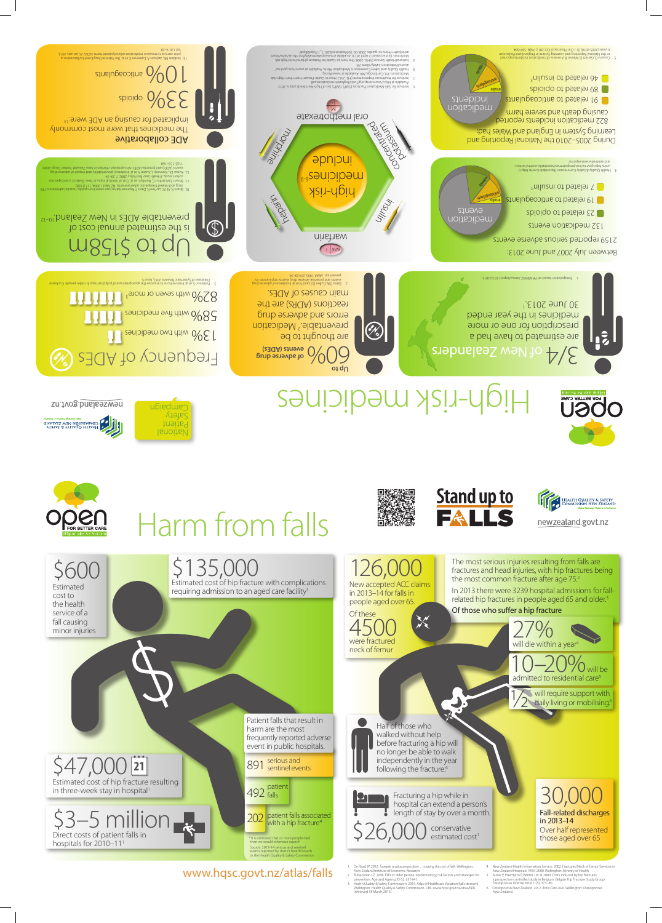New accepted ACC claims in 2013–14 for falls in people aged over 65. 126,000





**NSOO** 

Half of those who walked without help before fracturing a hip will no longer be able to walk independently in the year following the fracture.<sup>6</sup>

Of these  $4500$ neck of femur

Direct costs of patient falls in hospitals for 2010-111  $$3–5$  million



\$26,000 conservative estimated cost<sup>1</sup>

- 
- 
- 1. De Raad JP. 2012. Towards avalue proposition... scoping the cost of falls. Wellington:<br>
2. Rubenstein LZ. 2006. Falls in older people: epidemiology, risk factors and strategies for<br>
2. Rubenstein LZ. 2006. Falls in olde

Harm from falls



su:Jvog.bns.bs/sven

ALITY & YTILIALO HTLAIR

Estimated cost of hip fracture resulting in three-week stay in hospital \$47,000 **21**

Estimated cost of hip fracture with complications requiring admission to an aged care facility<sup>1</sup> \$135,000

> 492 <sup>patient</sup> falls

202 patient falls associated<br>with a hip fracture\* with a hip fracture\*

\* It is estimated that 22 more people died<br>than we would otherwise expect<sup>2</sup>

In 2013 there were 3239 hospital admissions for fallrelated hip fractures in people aged 65 and older.<sup>3</sup>

the most common fracture after age 75.2

National Patient Safety ubiedwe-



preventable.<sup>2</sup> Medication errors and adverse drug reactions (ADRs) are the main causes of ADEs.

The medicines that were most commonly implicated for causing an ADE were:<sup>13</sup>

spioido OGEE

 $\mathfrak{g}$ uelugeopitns  $\mathcal{O}\!\!\!\bigwedge\limits_{\mathcal{C}}\mathcal{O}\mathcal{C}$ 

The most serious injuries resulting from falls are fractures and head injuries, with hip fractures being

Of those who suffer a hip fracture

Patient falls that result in harm are the most frequently reported adverse event in public hospitals.

891 serious and<br>891 sentinel events



- 
- 4. New Zealand Health Information Service. 2002. Fractured Neck of Femur Services in New Zealand Hospitals 1999–2000. Wellington: Ministry of Health.<br>5. Autier P, Haentjens P, Bentin J et al. 2000. Costs induced by hip fra
- 

Source: 2013–14 serious and sentinel events reported by district health boards to the Health Quality & Safety Commission.

## www.hqsc.govt.nz/atlas/falls

Between July 2007 and June 2013:

2159 reported serious adverse events



(No)

are estimated to have had a prescription for one or more medicines in the year ended

30 June 2013.1

 $\sqrt{0}$  will be 10–20% will be admitted to residential care<sup>5</sup>

 $27\%$ 

will require support with will require support with<br>ally living or mobilising.<sup>6</sup>

institute for Safe Medication Practices (ISMP). ISMP's List of High-Alert Medications. 2012.<br>Available at http://www.ismp.org/Tools/highalertmedications.pdf. 7. Installation of Hambury 1990, 2015 Installation and the Microfest Award (1991)<br>- Installation (1991) Installation (1991) Installation and Installation Installation of Installation<br>8. Health Quitery Installation (1

- A4-21talA/vgiac-2001soil/sdiacol/active-84-21talA/vgiac-2001soil/sdiacol/sdiacol/sdiacol/sdiacol/sdiacol/sdi<br>- A8-22-A9-2001soil/sdiacol/active-94-2001/active-94-2002/active-94-2002/active-94-2003<br>- The Boots Strate-200



, 991 - 1917 - 1920 May 1920 May 1920 May 1920 May 1920 And the property of the State State State State State State State State State State State State State State State State State State State State State State State Sta



are thought to be

Seddon ME, Jackson A, Cameron C et al. The Adverse Drug Event Collaborative: a 13. joint venture to measure medication-related patient harm. NZMJ 25 January 2013, Vol 126: 9–20.

| Database of Systematic Reviews 2012, Issue 5.<br>3. Patterson S, et al. Interventions to transprove the appropriate use of polypharmacy for older people. Cochrane | not anoiticallqmi : at never but for<br>I N et al. Incidence of adverse drug |
|--------------------------------------------------------------------------------------------------------------------------------------------------------------------|------------------------------------------------------------------------------|
| 82% with seven or more <sup>3</sup><br>1 U U U                                                                                                                     | i.ed ADEs.<br>DRs) are the                                                   |
| 58% with five medicines 1111                                                                                                                                       | punb <i>ersed</i><br>$\frac{1}{2}$ Medication                                |
| 13% with two medicines                                                                                                                                             | ito pG                                                                       |
| Frequency of ADEs (%)                                                                                                                                              | (e3QA) <i>chave</i><br>purb estevbs to                                       |

## ADE collaborative

Extrapolation based on PHARMAC Annual report 2012/2013. 1.

 $S/\Delta$  of New Zealanders



Bates DW, Cullen DJ, Laird N et al. Incidence of adverse drug 2. events and potential adverse drug events: implications for prevention. JAMA 1995; 274:29–34.

**Up to**